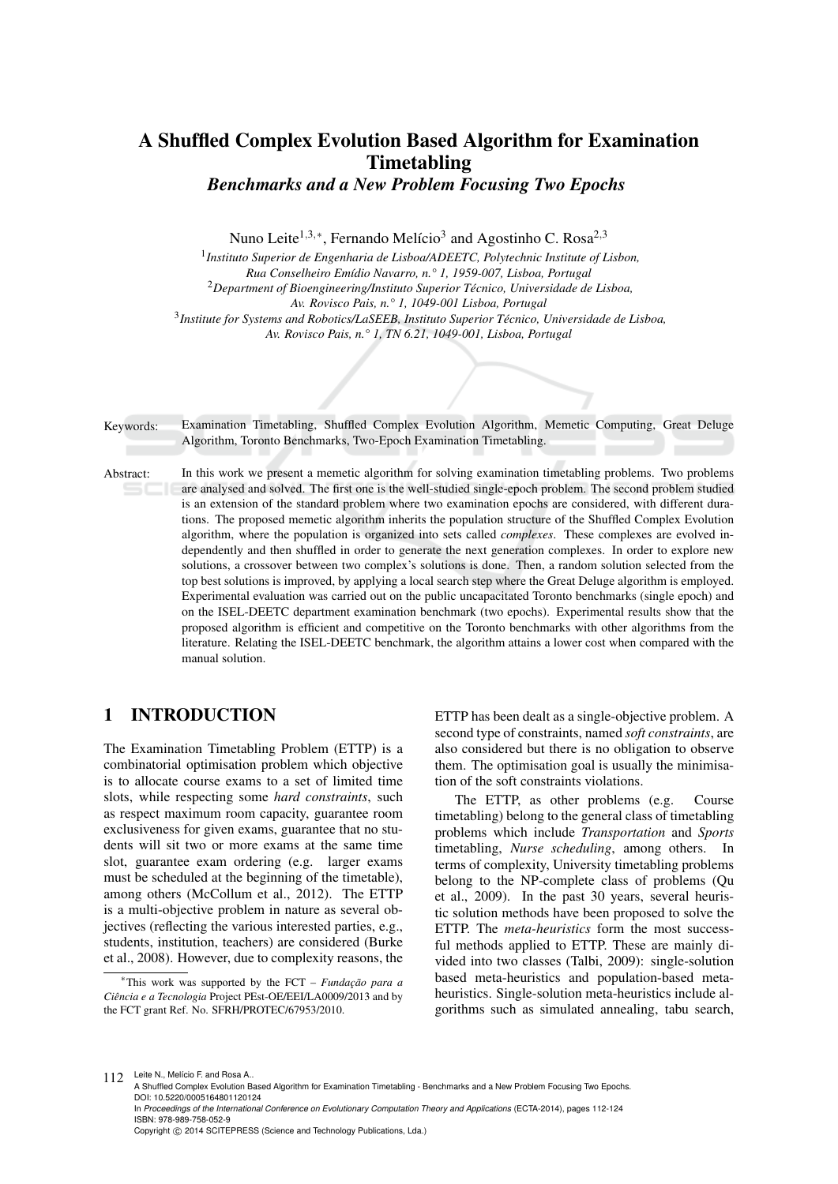# A Shuffled Complex Evolution Based Algorithm for Examination Timetabling *Benchmarks and a New Problem Focusing Two Epochs*

Nuno Leite<sup>1,3,∗</sup>, Fernando Melício<sup>3</sup> and Agostinho C. Rosa<sup>2,3</sup>

1 *Instituto Superior de Engenharia de Lisboa/ADEETC, Polytechnic Institute of Lisbon, Rua Conselheiro Em´ıdio Navarro, n.° 1, 1959-007, Lisboa, Portugal* <sup>2</sup>*Department of Bioengineering/Instituto Superior Tecnico, Universidade de Lisboa, ´ Av. Rovisco Pais, n.° 1, 1049-001 Lisboa, Portugal* 3 *Institute for Systems and Robotics/LaSEEB, Instituto Superior Tecnico, Universidade de Lisboa, ´ Av. Rovisco Pais, n.° 1, TN 6.21, 1049-001, Lisboa, Portugal*

Keywords: Examination Timetabling, Shuffled Complex Evolution Algorithm, Memetic Computing, Great Deluge Algorithm, Toronto Benchmarks, Two-Epoch Examination Timetabling.

Abstract: In this work we present a memetic algorithm for solving examination timetabling problems. Two problems are analysed and solved. The first one is the well-studied single-epoch problem. The second problem studied is an extension of the standard problem where two examination epochs are considered, with different durations. The proposed memetic algorithm inherits the population structure of the Shuffled Complex Evolution algorithm, where the population is organized into sets called *complexes*. These complexes are evolved independently and then shuffled in order to generate the next generation complexes. In order to explore new solutions, a crossover between two complex's solutions is done. Then, a random solution selected from the top best solutions is improved, by applying a local search step where the Great Deluge algorithm is employed. Experimental evaluation was carried out on the public uncapacitated Toronto benchmarks (single epoch) and on the ISEL-DEETC department examination benchmark (two epochs). Experimental results show that the proposed algorithm is efficient and competitive on the Toronto benchmarks with other algorithms from the literature. Relating the ISEL-DEETC benchmark, the algorithm attains a lower cost when compared with the manual solution.

# 1 INTRODUCTION

The Examination Timetabling Problem (ETTP) is a combinatorial optimisation problem which objective is to allocate course exams to a set of limited time slots, while respecting some *hard constraints*, such as respect maximum room capacity, guarantee room exclusiveness for given exams, guarantee that no students will sit two or more exams at the same time slot, guarantee exam ordering (e.g. larger exams must be scheduled at the beginning of the timetable), among others (McCollum et al., 2012). The ETTP is a multi-objective problem in nature as several objectives (reflecting the various interested parties, e.g., students, institution, teachers) are considered (Burke et al., 2008). However, due to complexity reasons, the

ETTP has been dealt as a single-objective problem. A second type of constraints, named *soft constraints*, are also considered but there is no obligation to observe them. The optimisation goal is usually the minimisation of the soft constraints violations.

The ETTP, as other problems (e.g. Course timetabling) belong to the general class of timetabling problems which include *Transportation* and *Sports* timetabling, *Nurse scheduling*, among others. In terms of complexity, University timetabling problems belong to the NP-complete class of problems (Qu et al., 2009). In the past 30 years, several heuristic solution methods have been proposed to solve the ETTP. The *meta-heuristics* form the most successful methods applied to ETTP. These are mainly divided into two classes (Talbi, 2009): single-solution based meta-heuristics and population-based metaheuristics. Single-solution meta-heuristics include algorithms such as simulated annealing, tabu search,

112 Leite N., Melício F. and Rosa A.

<sup>&</sup>lt;sup>∗</sup>This work was supported by the FCT – *Fundação para a Ciencia e a Tecnologia ˆ* Project PEst-OE/EEI/LA0009/2013 and by the FCT grant Ref. No. SFRH/PROTEC/67953/2010.

A Shuffled Complex Evolution Based Algorithm for Examination Timetabling - Benchmarks and a New Problem Focusing Two Epochs. DOI: 10.5220/0005164801120124

In *Proceedings of the International Conference on Evolutionary Computation Theory and Applications* (ECTA-2014), pages 112-124 ISBN: 978-989-758-052-9

Copyright © 2014 SCITEPRESS (Science and Technology Publications, Lda.)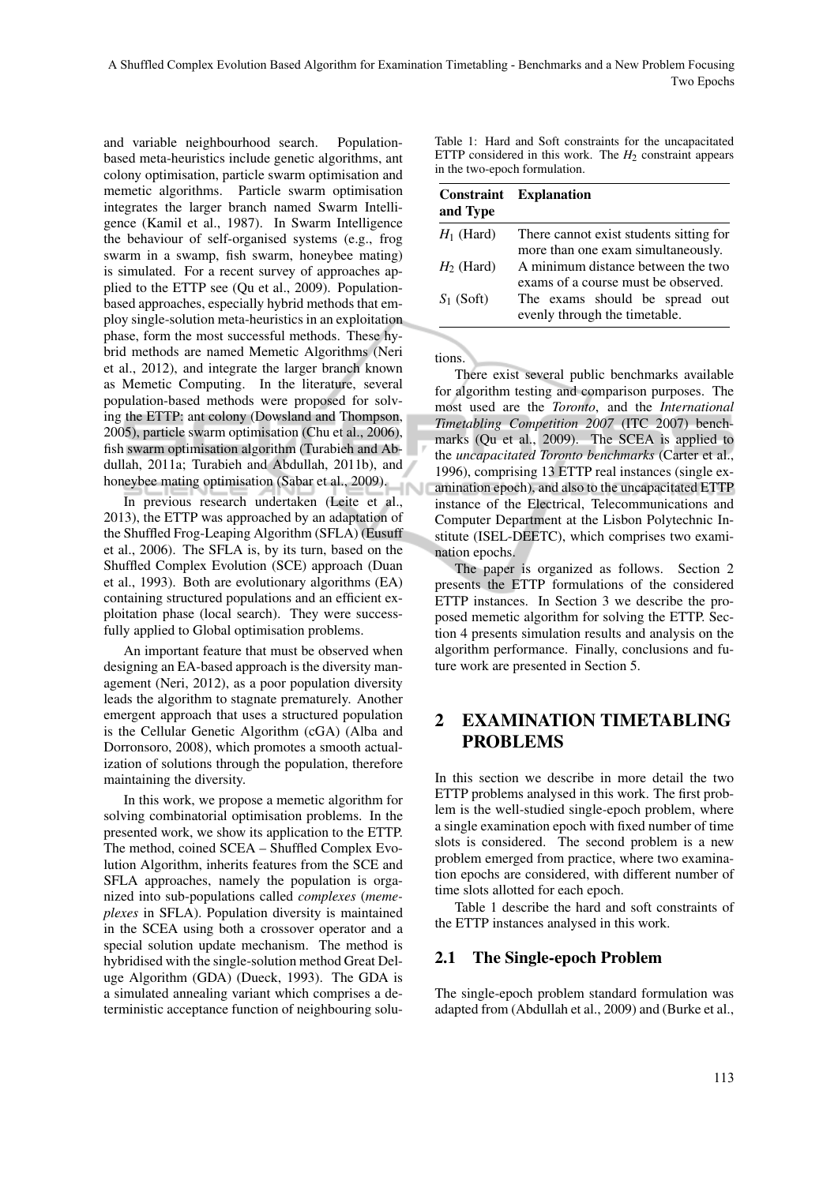A Shuffled Complex Evolution Based Algorithm for Examination Timetabling - Benchmarks and a New Problem Focusing Two-Epochs

and variable neighbourhood search. Populationbased meta-heuristics include genetic algorithms, ant colony optimisation, particle swarm optimisation and memetic algorithms. Particle swarm optimisation integrates the larger branch named Swarm Intelligence (Kamil et al., 1987). In Swarm Intelligence the behaviour of self-organised systems (e.g., frog swarm in a swamp, fish swarm, honeybee mating) is simulated. For a recent survey of approaches applied to the ETTP see (Qu et al., 2009). Populationbased approaches, especially hybrid methods that employ single-solution meta-heuristics in an exploitation phase, form the most successful methods. These hybrid methods are named Memetic Algorithms (Neri et al., 2012), and integrate the larger branch known as Memetic Computing. In the literature, several population-based methods were proposed for solving the ETTP: ant colony (Dowsland and Thompson, 2005), particle swarm optimisation (Chu et al., 2006), fish swarm optimisation algorithm (Turabieh and Abdullah, 2011a; Turabieh and Abdullah, 2011b), and honeybee mating optimisation (Sabar et al., 2009).

In previous research undertaken (Leite et al., 2013), the ETTP was approached by an adaptation of the Shuffled Frog-Leaping Algorithm (SFLA) (Eusuff et al., 2006). The SFLA is, by its turn, based on the Shuffled Complex Evolution (SCE) approach (Duan et al., 1993). Both are evolutionary algorithms (EA) containing structured populations and an efficient exploitation phase (local search). They were successfully applied to Global optimisation problems.

An important feature that must be observed when designing an EA-based approach is the diversity management (Neri, 2012), as a poor population diversity leads the algorithm to stagnate prematurely. Another emergent approach that uses a structured population is the Cellular Genetic Algorithm (cGA) (Alba and Dorronsoro, 2008), which promotes a smooth actualization of solutions through the population, therefore maintaining the diversity.

In this work, we propose a memetic algorithm for solving combinatorial optimisation problems. In the presented work, we show its application to the ETTP. The method, coined SCEA – Shuffled Complex Evolution Algorithm, inherits features from the SCE and SFLA approaches, namely the population is organized into sub-populations called *complexes* (*memeplexes* in SFLA). Population diversity is maintained in the SCEA using both a crossover operator and a special solution update mechanism. The method is hybridised with the single-solution method Great Deluge Algorithm (GDA) (Dueck, 1993). The GDA is a simulated annealing variant which comprises a deterministic acceptance function of neighbouring solu-

Table 1: Hard and Soft constraints for the uncapacitated ETTP considered in this work. The *H*<sup>2</sup> constraint appears in the two-epoch formulation.

| and Type     | <b>Constraint</b> Explanation                                                 |
|--------------|-------------------------------------------------------------------------------|
| $H_1$ (Hard) | There cannot exist students sitting for<br>more than one exam simultaneously. |
| $H_2$ (Hard) | A minimum distance between the two<br>exams of a course must be observed.     |
| $S_1$ (Soft) | The exams should be spread out<br>evenly through the timetable.               |

tions.

There exist several public benchmarks available for algorithm testing and comparison purposes. The most used are the *Toronto*, and the *International Timetabling Competition 2007* (ITC 2007) benchmarks (Qu et al., 2009). The SCEA is applied to the *uncapacitated Toronto benchmarks* (Carter et al., 1996), comprising 13 ETTP real instances (single examination epoch), and also to the uncapacitated ETTP instance of the Electrical, Telecommunications and Computer Department at the Lisbon Polytechnic Institute (ISEL-DEETC), which comprises two examination epochs.

The paper is organized as follows. Section 2 presents the ETTP formulations of the considered ETTP instances. In Section 3 we describe the proposed memetic algorithm for solving the ETTP. Section 4 presents simulation results and analysis on the algorithm performance. Finally, conclusions and future work are presented in Section 5.

# 2 EXAMINATION TIMETABLING PROBLEMS

In this section we describe in more detail the two ETTP problems analysed in this work. The first problem is the well-studied single-epoch problem, where a single examination epoch with fixed number of time slots is considered. The second problem is a new problem emerged from practice, where two examination epochs are considered, with different number of time slots allotted for each epoch.

Table 1 describe the hard and soft constraints of the ETTP instances analysed in this work.

## 2.1 The Single-epoch Problem

The single-epoch problem standard formulation was adapted from (Abdullah et al., 2009) and (Burke et al.,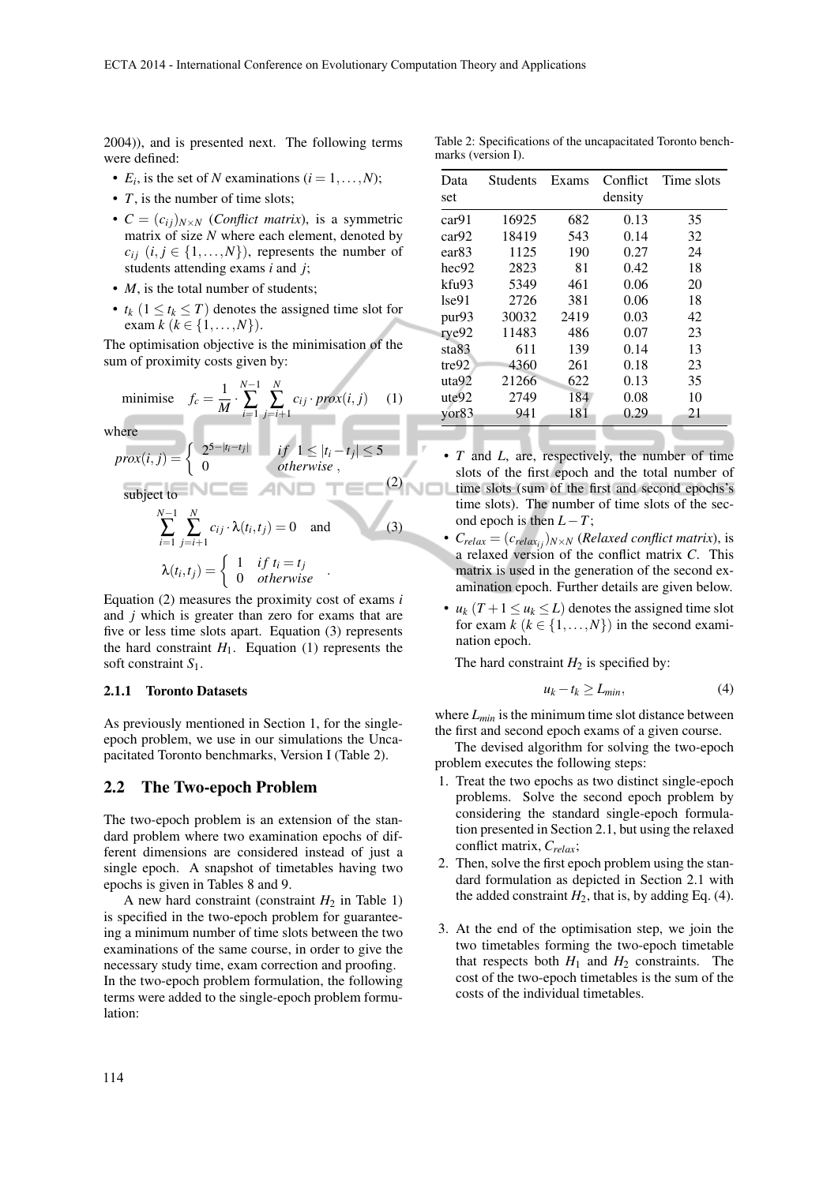2004)), and is presented next. The following terms were defined:

- $E_i$ , is the set of *N* examinations  $(i = 1, \ldots, N)$ ;
- *T*, is the number of time slots;
- $C = (c_{ij})_{N \times N}$  (*Conflict matrix*), is a symmetric matrix of size *N* where each element, denoted by  $c_{ij}$  (*i*, *j* ∈ {1,...,*N*}), represents the number of students attending exams *i* and *j*;
- *M*, is the total number of students;
- $t_k$  ( $1 \le t_k \le T$ ) denotes the assigned time slot for exam  $k$  ( $k \in \{1, ..., N\}$ ).

The optimisation objective is the minimisation of the sum of proximity costs given by:

minimise 
$$
f_c = \frac{1}{M} \cdot \sum_{i=1}^{N-1} \sum_{j=i+1}^{N} c_{ij} \cdot prox(i, j)
$$
 (1)

where

$$
prox(i, j) = \begin{cases} 2^{5-|t_i-t_j|} & \text{if } 1 \le |t_i-t_j| \le 5\\ 0 & \text{otherwise} \end{cases}
$$
\nsubject to

\n
$$
\sum_{i=1}^{N-1} \sum_{j=i+1}^{N} c_{ij} \cdot \lambda(t_i, t_j) = 0 \quad \text{and} \quad (3)
$$
\n
$$
\lambda(t_i, t_j) = \begin{cases} 1 & \text{if } t_i = t_j\\ 0 & \text{otherwise} \end{cases}
$$

Equation (2) measures the proximity cost of exams *i* and *j* which is greater than zero for exams that are five or less time slots apart. Equation (3) represents the hard constraint  $H_1$ . Equation (1) represents the soft constraint *S*1.

#### 2.1.1 Toronto Datasets

As previously mentioned in Section 1, for the singleepoch problem, we use in our simulations the Uncapacitated Toronto benchmarks, Version I (Table 2).

#### 2.2 The Two-epoch Problem

The two-epoch problem is an extension of the standard problem where two examination epochs of different dimensions are considered instead of just a single epoch. A snapshot of timetables having two epochs is given in Tables 8 and 9.

A new hard constraint (constraint  $H_2$  in Table 1) is specified in the two-epoch problem for guaranteeing a minimum number of time slots between the two examinations of the same course, in order to give the necessary study time, exam correction and proofing. In the two-epoch problem formulation, the following terms were added to the single-epoch problem formulation:

| Table 2: Specifications of the uncapacitated Toronto bench- |  |  |
|-------------------------------------------------------------|--|--|
| marks (version I).                                          |  |  |

| Data<br>set       | Students | Exams | Conflict<br>density | Time slots |
|-------------------|----------|-------|---------------------|------------|
| car91             | 16925    | 682   | 0.13                | 35         |
| car92             | 18419    | 543   | 0.14                | 32         |
| ear <sub>83</sub> | 1125     | 190   | 0.27                | 24         |
| hec92             | 2823     | 81    | 0.42                | 18         |
| kfu93             | 5349     | 461   | 0.06                | 20         |
| 1se91             | 2726     | 381   | 0.06                | 18         |
| pur93             | 30032    | 2419  | 0.03                | 42         |
| rye92             | 11483    | 486   | 0.07                | 23         |
| sta83             | 611      | 139   | 0.14                | 13         |
| tre92             | 4360     | 261   | 0.18                | 23         |
| uta92             | 21266    | 622   | 0.13                | 35         |
| ute92             | 2749     | 184   | 0.08                | 10         |
| $\gamma$ or $83$  | 941      | 181   | 0.29                | 21         |
|                   |          |       |                     |            |

- *T* and *L*, are, respectively, the number of time slots of the first epoch and the total number of time slots (sum of the first and second epochs's VOL time slots). The number of time slots of the second epoch is then  $L-T$ ;
	- $C_{relax} = (c_{relax_{ij}})_{N \times N}$  (*Relaxed conflict matrix*), is a relaxed version of the conflict matrix *C*. This matrix is used in the generation of the second examination epoch. Further details are given below.
	- $u_k$  ( $T + 1 \le u_k \le L$ ) denotes the assigned time slot for exam  $k$  ( $k \in \{1, ..., N\}$ ) in the second examination epoch.

The hard constraint  $H_2$  is specified by:

$$
u_k - t_k \ge L_{min},\tag{4}
$$

where *Lmin* is the minimum time slot distance between the first and second epoch exams of a given course.

The devised algorithm for solving the two-epoch problem executes the following steps:

- 1. Treat the two epochs as two distinct single-epoch problems. Solve the second epoch problem by considering the standard single-epoch formulation presented in Section 2.1, but using the relaxed conflict matrix, *Crelax*;
- 2. Then, solve the first epoch problem using the standard formulation as depicted in Section 2.1 with the added constraint  $H_2$ , that is, by adding Eq. (4).
- 3. At the end of the optimisation step, we join the two timetables forming the two-epoch timetable that respects both  $H_1$  and  $H_2$  constraints. The cost of the two-epoch timetables is the sum of the costs of the individual timetables.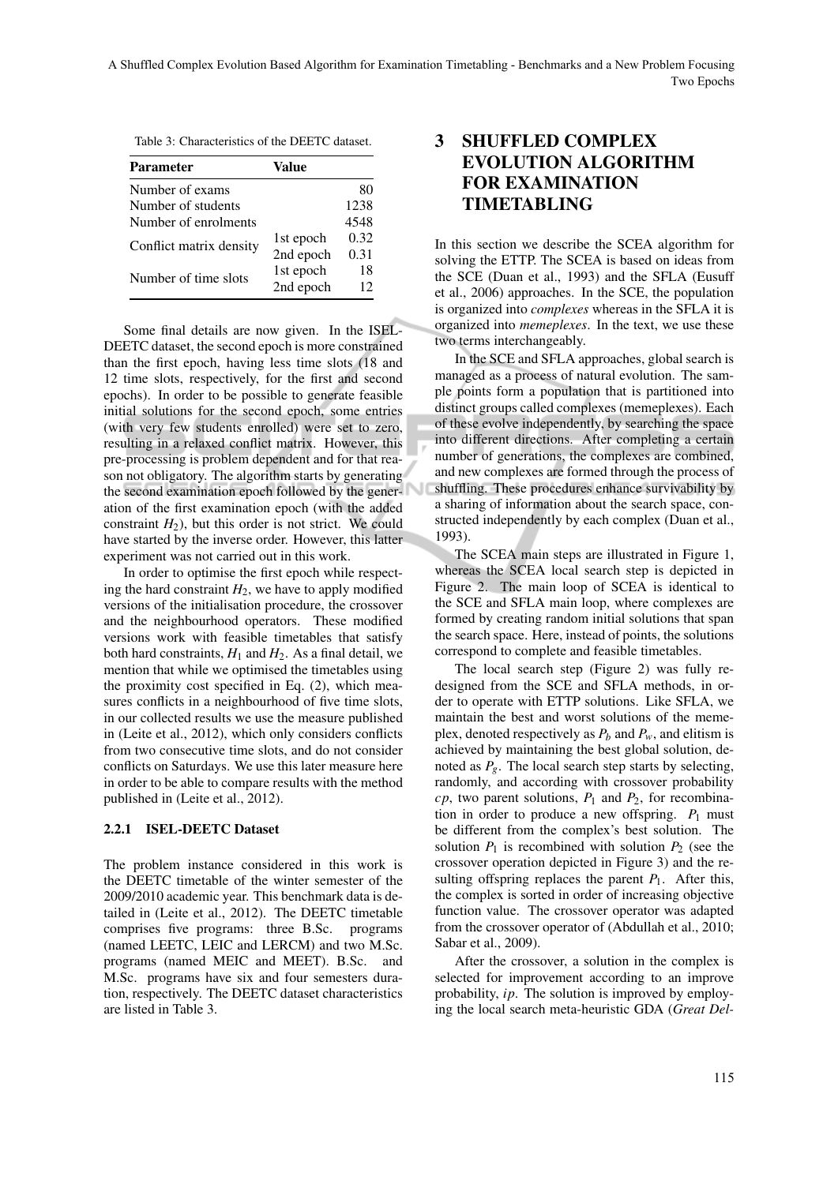| <b>Parameter</b>        | Value     |      |
|-------------------------|-----------|------|
| Number of exams         |           | 80   |
| Number of students      |           | 1238 |
| Number of enrolments    |           | 4548 |
|                         | 1st epoch | 0.32 |
| Conflict matrix density | 2nd epoch | 0.31 |
| Number of time slots    | 1st epoch | 18   |
|                         | 2nd epoch | 12   |

Some final details are now given. In the ISEL-DEETC dataset, the second epoch is more constrained than the first epoch, having less time slots (18 and 12 time slots, respectively, for the first and second epochs). In order to be possible to generate feasible initial solutions for the second epoch, some entries (with very few students enrolled) were set to zero, resulting in a relaxed conflict matrix. However, this pre-processing is problem dependent and for that reason not obligatory. The algorithm starts by generating the second examination epoch followed by the generation of the first examination epoch (with the added constraint  $H_2$ ), but this order is not strict. We could have started by the inverse order. However, this latter experiment was not carried out in this work.

In order to optimise the first epoch while respecting the hard constraint  $H_2$ , we have to apply modified versions of the initialisation procedure, the crossover and the neighbourhood operators. These modified versions work with feasible timetables that satisfy both hard constraints,  $H_1$  and  $H_2$ . As a final detail, we mention that while we optimised the timetables using the proximity cost specified in Eq. (2), which measures conflicts in a neighbourhood of five time slots, in our collected results we use the measure published in (Leite et al., 2012), which only considers conflicts from two consecutive time slots, and do not consider conflicts on Saturdays. We use this later measure here in order to be able to compare results with the method published in (Leite et al., 2012).

#### 2.2.1 ISEL-DEETC Dataset

The problem instance considered in this work is the DEETC timetable of the winter semester of the 2009/2010 academic year. This benchmark data is detailed in (Leite et al., 2012). The DEETC timetable comprises five programs: three B.Sc. programs (named LEETC, LEIC and LERCM) and two M.Sc. programs (named MEIC and MEET). B.Sc. and M.Sc. programs have six and four semesters duration, respectively. The DEETC dataset characteristics are listed in Table 3.

# 3 SHUFFLED COMPLEX EVOLUTION ALGORITHM FOR EXAMINATION TIMETABLING

In this section we describe the SCEA algorithm for solving the ETTP. The SCEA is based on ideas from the SCE (Duan et al., 1993) and the SFLA (Eusuff et al., 2006) approaches. In the SCE, the population is organized into *complexes* whereas in the SFLA it is organized into *memeplexes*. In the text, we use these two terms interchangeably.

In the SCE and SFLA approaches, global search is managed as a process of natural evolution. The sample points form a population that is partitioned into distinct groups called complexes (memeplexes). Each of these evolve independently, by searching the space into different directions. After completing a certain number of generations, the complexes are combined, and new complexes are formed through the process of shuffling. These procedures enhance survivability by a sharing of information about the search space, constructed independently by each complex (Duan et al., 1993).

The SCEA main steps are illustrated in Figure 1, whereas the SCEA local search step is depicted in Figure 2. The main loop of SCEA is identical to the SCE and SFLA main loop, where complexes are formed by creating random initial solutions that span the search space. Here, instead of points, the solutions correspond to complete and feasible timetables.

The local search step (Figure 2) was fully redesigned from the SCE and SFLA methods, in order to operate with ETTP solutions. Like SFLA, we maintain the best and worst solutions of the memeplex, denoted respectively as  $P_b$  and  $P_w$ , and elitism is achieved by maintaining the best global solution, denoted as  $P_g$ . The local search step starts by selecting, randomly, and according with crossover probability  $cp$ , two parent solutions,  $P_1$  and  $P_2$ , for recombination in order to produce a new offspring.  $P_1$  must be different from the complex's best solution. The solution  $P_1$  is recombined with solution  $P_2$  (see the crossover operation depicted in Figure 3) and the resulting offspring replaces the parent  $P_1$ . After this, the complex is sorted in order of increasing objective function value. The crossover operator was adapted from the crossover operator of (Abdullah et al., 2010; Sabar et al., 2009).

After the crossover, a solution in the complex is selected for improvement according to an improve probability, *ip*. The solution is improved by employing the local search meta-heuristic GDA (*Great Del-*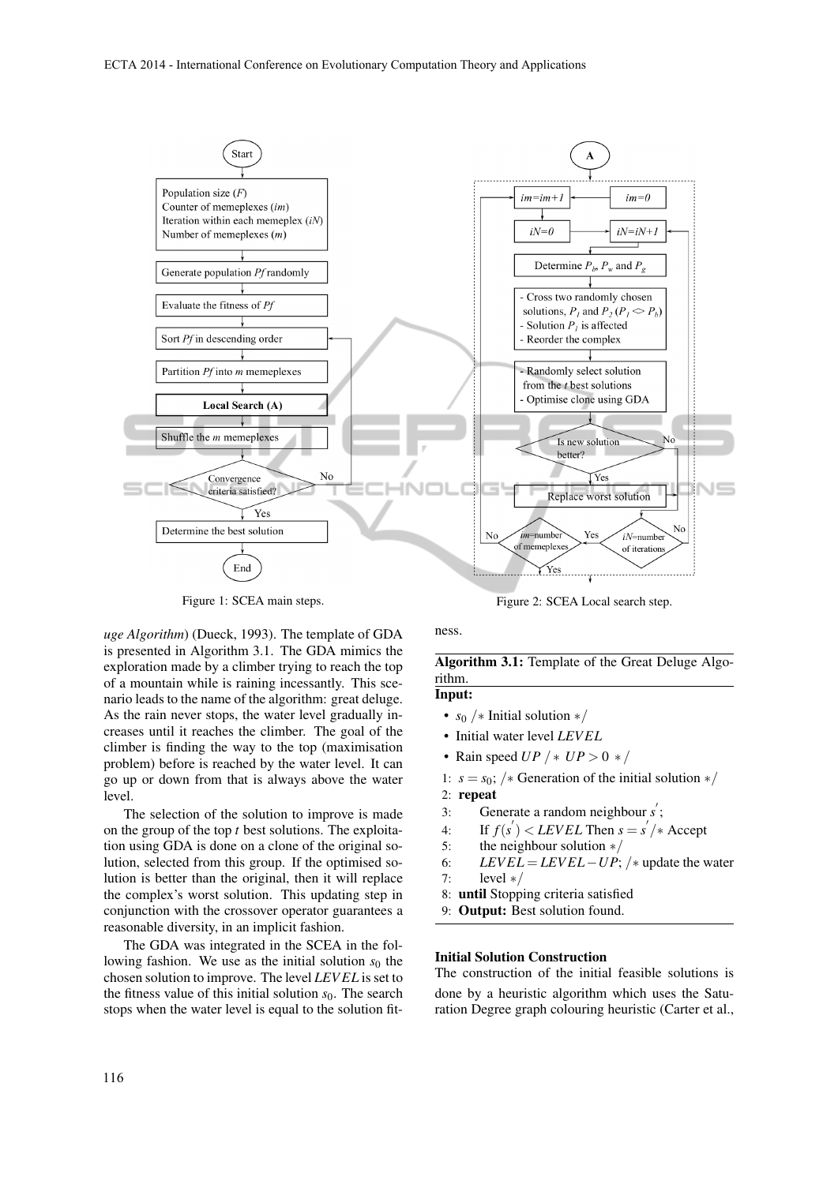

Figure 1: SCEA main steps.

*uge Algorithm*) (Dueck, 1993). The template of GDA is presented in Algorithm 3.1. The GDA mimics the exploration made by a climber trying to reach the top of a mountain while is raining incessantly. This scenario leads to the name of the algorithm: great deluge. As the rain never stops, the water level gradually increases until it reaches the climber. The goal of the climber is finding the way to the top (maximisation problem) before is reached by the water level. It can go up or down from that is always above the water level.

The selection of the solution to improve is made on the group of the top *t* best solutions. The exploitation using GDA is done on a clone of the original solution, selected from this group. If the optimised solution is better than the original, then it will replace the complex's worst solution. This updating step in conjunction with the crossover operator guarantees a reasonable diversity, in an implicit fashion.

The GDA was integrated in the SCEA in the following fashion. We use as the initial solution  $s_0$  the chosen solution to improve. The level *LEV EL* is set to the fitness value of this initial solution  $s<sub>0</sub>$ . The search stops when the water level is equal to the solution fitFigure 2: SCEA Local search step.

ness.

## Algorithm 3.1: Template of the Great Deluge Algorithm.

Input:

- *s*<sup>0</sup> /∗ Initial solution ∗/
- Initial water level *LEV EL*
- Rain speed *UP* / ∗ *UP* > 0 ∗ /
- 1:  $s = s_0$ ; /\* Generation of the initial solution  $\ast$  /
- 2: repeat
- 3: Generate a random neighbour s';
- 4: If  $f(s') < LEVEL$  Then  $s = s'/*$  Accept
- 5: the neighbour solution ∗/
- 6: *LEVEL* = *LEVEL* − *UP*; /\* update the water
- 7: level  $*/$
- 8: until Stopping criteria satisfied
- 9: Output: Best solution found.

#### Initial Solution Construction

The construction of the initial feasible solutions is done by a heuristic algorithm which uses the Saturation Degree graph colouring heuristic (Carter et al.,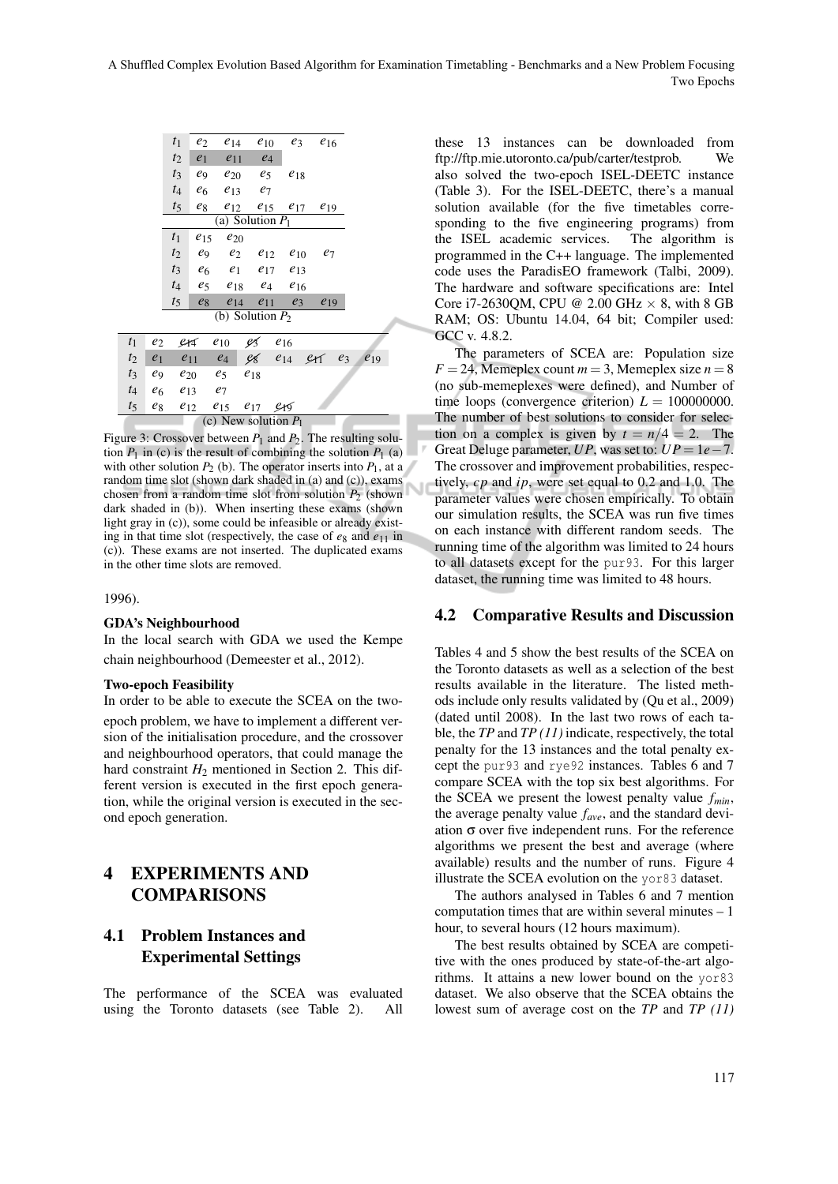|       |                | $t_1$ | $e_2$          |                            | $e_{14}$ $e_{10}$ |                         | $e_3$<br>$e_{16}$                   |       |          |
|-------|----------------|-------|----------------|----------------------------|-------------------|-------------------------|-------------------------------------|-------|----------|
|       |                | $t_2$ | e <sub>1</sub> | $e_{11}$                   | $e_4$             |                         |                                     |       |          |
|       |                | $t_3$ | e9             | $e_{20}$                   | $e_5$             | $e_{18}$                |                                     |       |          |
|       |                | $t_4$ | e <sub>6</sub> | $e_{13}$                   | $e_7$             |                         |                                     |       |          |
|       |                | $t_5$ | $e_8$          |                            |                   |                         | $e_{12}$ $e_{15}$ $e_{17}$ $e_{19}$ |       |          |
|       |                |       |                | (a) Solution $P_1$         |                   |                         |                                     |       |          |
|       |                | $t_1$ | $e_{15}$       | $e_{20}$                   |                   |                         |                                     |       |          |
|       |                | $t_2$ |                | $e_9$ $e_2$ $e_{12}$       |                   | $e_{10}$                | $e_7$                               |       |          |
|       |                | $t_3$ |                | $e_6$ $e_1$                | $e_{17}$          | $e_{13}$                |                                     |       |          |
|       |                | $t_4$ | $e_5$          |                            | $e_{18}$ $e_4$    | $e_{16}$                |                                     |       |          |
|       |                | $t_5$ | $e_8$          |                            |                   | $e_{14}$ $e_{11}$ $e_3$ | $e_{19}$                            |       |          |
|       |                |       |                | (b) Solution $P_2$         |                   |                         |                                     |       |          |
| $t_1$ | $e_2$          |       | $214$ $e_{10}$ |                            | IS -              | $e_{16}$                |                                     |       |          |
| $t_2$ |                |       |                |                            |                   |                         |                                     | $e_3$ |          |
|       | $e_1$          |       | $e_{11}$       | $e_4$                      |                   | $98e_{14}$              | er                                  |       | $e_{19}$ |
| $t_3$ | e9             |       | $e_{20}$       | $e_5$                      | $e_{18}$          |                         |                                     |       |          |
| $t_4$ | e <sub>6</sub> |       | $e_{13}$       | $e_7$                      |                   |                         |                                     |       |          |
| $t_5$ | $e_8$          |       | $e_{12}$       | $e_{15}$ $e_{17}$ $e_{19}$ |                   |                         |                                     |       |          |
|       |                |       |                | (c) New solution $P_1$     |                   |                         |                                     |       |          |

Figure 3: Crossover between  $P_1$  and  $P_2$ . The resulting solution  $P_1$  in (c) is the result of combining the solution  $P_1$  (a) with other solution  $P_2$  (b). The operator inserts into  $P_1$ , at a random time slot (shown dark shaded in (a) and (c)), exams chosen from a random time slot from solution  $P_2$  (shown dark shaded in (b)). When inserting these exams (shown light gray in (c)), some could be infeasible or already existing in that time slot (respectively, the case of  $e_8$  and  $e_{11}$  in (c)). These exams are not inserted. The duplicated exams in the other time slots are removed.

1996).

#### GDA's Neighbourhood

In the local search with GDA we used the Kempe chain neighbourhood (Demeester et al., 2012).

#### Two-epoch Feasibility

In order to be able to execute the SCEA on the twoepoch problem, we have to implement a different version of the initialisation procedure, and the crossover and neighbourhood operators, that could manage the hard constraint  $H_2$  mentioned in Section 2. This different version is executed in the first epoch generation, while the original version is executed in the second epoch generation.

## 4 EXPERIMENTS AND **COMPARISONS**

## 4.1 Problem Instances and Experimental Settings

The performance of the SCEA was evaluated using the Toronto datasets (see Table 2). All

these 13 instances can be downloaded from ftp://ftp.mie.utoronto.ca/pub/carter/testprob. We also solved the two-epoch ISEL-DEETC instance (Table 3). For the ISEL-DEETC, there's a manual solution available (for the five timetables corresponding to the five engineering programs) from the ISEL academic services. The algorithm is programmed in the C++ language. The implemented code uses the ParadisEO framework (Talbi, 2009). The hardware and software specifications are: Intel Core i7-2630OM, CPU @ 2.00 GHz  $\times$  8, with 8 GB RAM; OS: Ubuntu 14.04, 64 bit; Compiler used: GCC v. 4.8.2.

The parameters of SCEA are: Population size  $F = 24$ , Memeplex count  $m = 3$ , Memeplex size  $n = 8$ (no sub-memeplexes were defined), and Number of time loops (convergence criterion)  $L = 100000000$ . The number of best solutions to consider for selection on a complex is given by  $t = n/4 = 2$ . The Great Deluge parameter, *UP*, was set to: *UP* = 1*e*−7. The crossover and improvement probabilities, respectively, *cp* and *ip*, were set equal to 0.2 and 1.0. The parameter values were chosen empirically. To obtain our simulation results, the SCEA was run five times on each instance with different random seeds. The running time of the algorithm was limited to 24 hours to all datasets except for the pur93. For this larger dataset, the running time was limited to 48 hours.

## 4.2 Comparative Results and Discussion

Tables 4 and 5 show the best results of the SCEA on the Toronto datasets as well as a selection of the best results available in the literature. The listed methods include only results validated by (Qu et al., 2009) (dated until 2008). In the last two rows of each table, the *TP* and *TP (11)* indicate, respectively, the total penalty for the 13 instances and the total penalty except the pur93 and rye92 instances. Tables 6 and 7 compare SCEA with the top six best algorithms. For the SCEA we present the lowest penalty value *fmin*, the average penalty value *fave*, and the standard deviation  $\sigma$  over five independent runs. For the reference algorithms we present the best and average (where available) results and the number of runs. Figure 4 illustrate the SCEA evolution on the yor83 dataset.

The authors analysed in Tables 6 and 7 mention computation times that are within several minutes – 1 hour, to several hours (12 hours maximum).

The best results obtained by SCEA are competitive with the ones produced by state-of-the-art algorithms. It attains a new lower bound on the yor83 dataset. We also observe that the SCEA obtains the lowest sum of average cost on the *TP* and *TP (11)*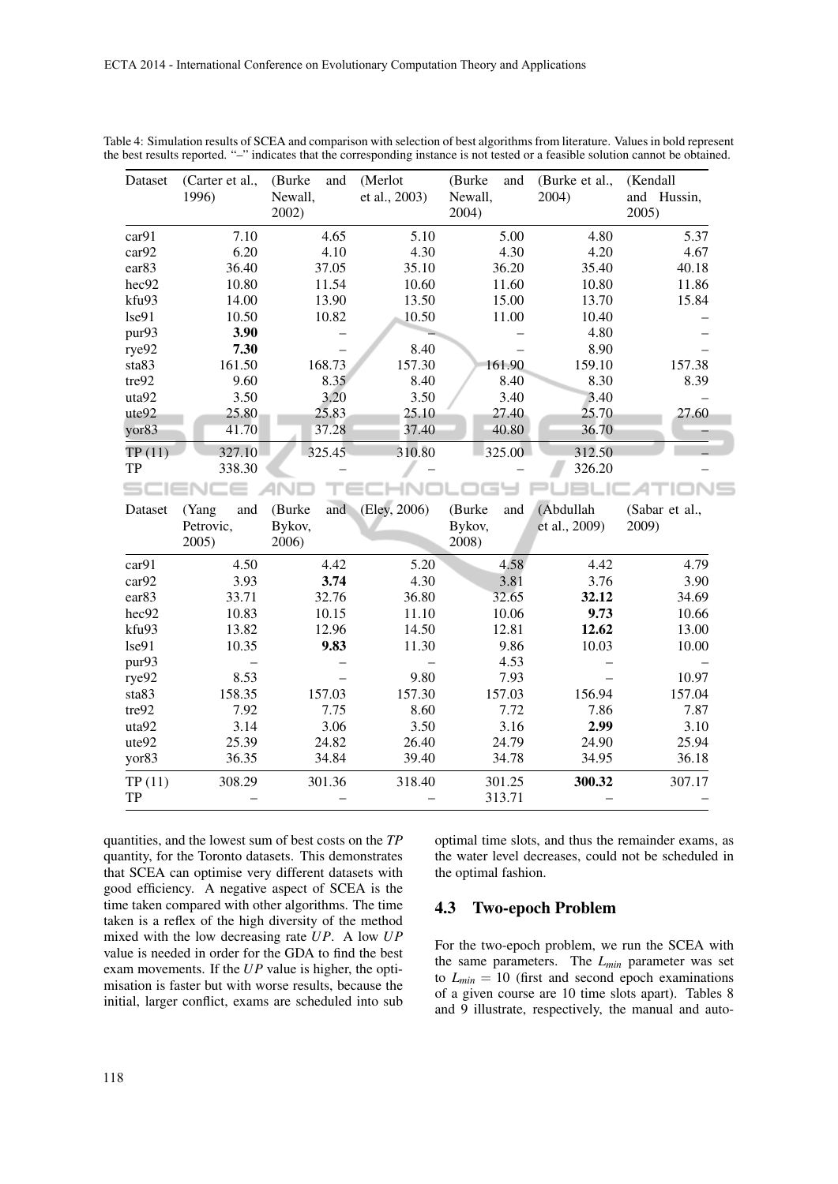| Dataset             | (Carter et al.,<br>1996) | (Burke<br>and<br>Newall,<br>2002) | (Merlot<br>et al., 2003) | (Burke<br>and<br>Newall,<br>2004) | (Burke et al.,<br>2004) | (Kendall<br>and Hussin,<br>2005) |
|---------------------|--------------------------|-----------------------------------|--------------------------|-----------------------------------|-------------------------|----------------------------------|
| car91               | 7.10                     | 4.65                              | 5.10                     | 5.00                              | 4.80                    | 5.37                             |
| car92               | 6.20                     | 4.10                              | 4.30                     | 4.30                              | 4.20                    | 4.67                             |
| ear <sub>83</sub>   | 36.40                    | 37.05                             | 35.10                    | 36.20                             | 35.40                   | 40.18                            |
| hec92               | 10.80                    | 11.54                             | 10.60                    | 11.60                             | 10.80                   | 11.86                            |
| kfu93               | 14.00                    | 13.90                             | 13.50                    | 15.00                             | 13.70                   | 15.84                            |
| lse91               | 10.50                    | 10.82                             | 10.50                    | 11.00                             | 10.40                   |                                  |
| pur93               | 3.90                     |                                   |                          |                                   | 4.80                    |                                  |
| rye92               | 7.30                     |                                   | 8.40                     |                                   | 8.90                    |                                  |
| sta83               | 161.50                   | 168.73                            | 157.30                   | 161.90                            | 159.10                  | 157.38                           |
| tre92               | 9.60                     | 8.35                              | 8.40                     | 8.40                              | 8.30                    | 8.39                             |
| uta92               | 3.50                     | 3.20                              | 3.50                     | 3.40                              | 3.40                    |                                  |
| ute92               | 25.80                    | 25.83                             | 25.10                    | 27.40                             | 25.70                   | 27.60                            |
| yor83               | 41.70                    | 37.28                             | 37.40                    | 40.80                             | 36.70                   |                                  |
| TP(11)              | 327.10                   | 325.45                            | 310.80                   | 325.00                            | 312.50                  |                                  |
| <b>TP</b>           | 338.30                   |                                   |                          |                                   | 326.20                  |                                  |
| sc                  | ∊                        |                                   |                          |                                   |                         |                                  |
|                     |                          |                                   |                          |                                   |                         |                                  |
| Dataset             | and<br>(Yang             | and<br>(Burke                     | (Eley, 2006)             | (Burke<br>and                     | (Abdullah               | (Sabar et al.,                   |
|                     | Petrovic,                | Bykov,                            |                          | Bykov,                            | et al., 2009)           | 2009)                            |
|                     | 2005)                    | 2006)                             |                          | 2008)                             |                         |                                  |
| car91               | 4.50                     | 4.42                              | 5.20                     | 4.58                              | 4.42                    | 4.79                             |
| car92               | 3.93                     | 3.74                              | 4.30                     | 3.81                              | 3.76                    | 3.90                             |
| ear <sub>83</sub>   | 33.71                    | 32.76                             | 36.80                    | 32.65                             | 32.12                   | 34.69                            |
| hec92               | 10.83                    | 10.15                             | 11.10                    | 10.06                             | 9.73                    | 10.66                            |
| kfu93               | 13.82                    | 12.96                             | 14.50                    | 12.81                             | 12.62                   | 13.00                            |
| lse91               | 10.35                    | 9.83                              | 11.30                    | 9.86                              | 10.03                   | 10.00                            |
| pur93               | $\overline{\phantom{0}}$ |                                   |                          | 4.53                              |                         |                                  |
| rye92               | 8.53                     |                                   | 9.80                     | 7.93                              |                         | 10.97                            |
| sta83               | 158.35                   | 157.03                            | 157.30                   | 157.03                            | 156.94                  | 157.04                           |
| tre92               | 7.92                     | 7.75                              | 8.60                     | 7.72                              | 7.86                    | 7.87                             |
| uta92               | 3.14                     | 3.06                              | 3.50                     | 3.16                              | 2.99                    | 3.10                             |
| ute92               | 25.39                    | 24.82                             | 26.40                    | 24.79                             | 24.90                   | 25.94                            |
| yor83               | 36.35                    | 34.84                             | 39.40                    | 34.78                             | 34.95                   | 36.18                            |
| TP(11)<br><b>TP</b> | 308.29                   | 301.36                            | 318.40                   | 301.25                            | 300.32                  | 307.17                           |

Table 4: Simulation results of SCEA and comparison with selection of best algorithms from literature. Values in bold represent the best results reported. "–" indicates that the corresponding instance is not tested or a feasible solution cannot be obtained.

quantities, and the lowest sum of best costs on the *TP* quantity, for the Toronto datasets. This demonstrates that SCEA can optimise very different datasets with good efficiency. A negative aspect of SCEA is the time taken compared with other algorithms. The time taken is a reflex of the high diversity of the method mixed with the low decreasing rate *UP*. A low *UP* value is needed in order for the GDA to find the best exam movements. If the *UP* value is higher, the optimisation is faster but with worse results, because the initial, larger conflict, exams are scheduled into sub

optimal time slots, and thus the remainder exams, as the water level decreases, could not be scheduled in the optimal fashion.

### 4.3 Two-epoch Problem

For the two-epoch problem, we run the SCEA with the same parameters. The  $L_{min}$  parameter was set to  $L_{min} = 10$  (first and second epoch examinations) of a given course are 10 time slots apart). Tables 8 and 9 illustrate, respectively, the manual and auto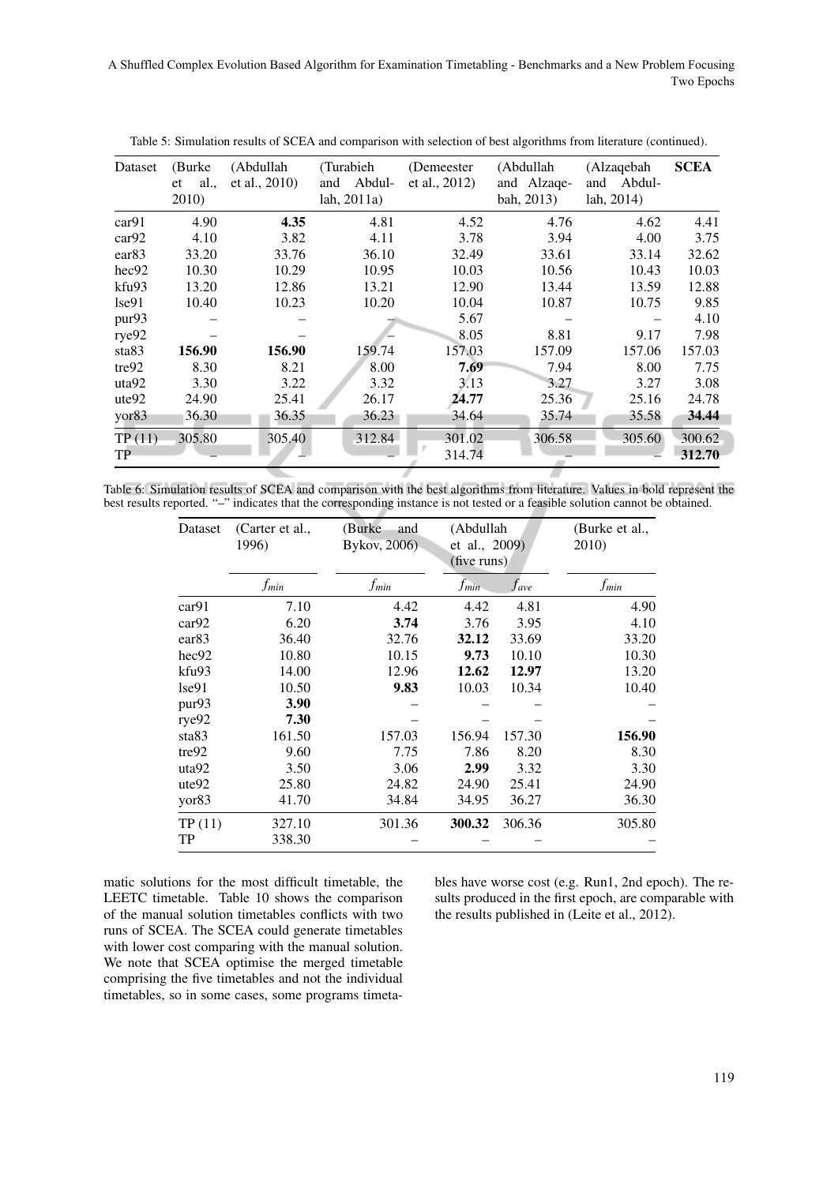A Shuffled Complex Evolution Based Algorithm for Examination Timetabling - Benchmarks and a New Problem Focusing Two-Epochs

| Dataset           | (Burke)   | (Abdullah     | (Turabieh)    | (Demeester)   | (Abdullah   | (Alzaqebah    | <b>SCEA</b> |
|-------------------|-----------|---------------|---------------|---------------|-------------|---------------|-------------|
|                   | al.<br>et | et al., 2010) | Abdul-<br>and | et al., 2012) | and Alzage- | Abdul-<br>and |             |
|                   | 2010)     |               | lah, 2011a)   |               | bah, 2013)  | lah, 2014)    |             |
| car91             | 4.90      | 4.35          | 4.81          | 4.52          | 4.76        | 4.62          | 4.41        |
| car92             | 4.10      | 3.82          | 4.11          | 3.78          | 3.94        | 4.00          | 3.75        |
| ear83             | 33.20     | 33.76         | 36.10         | 32.49         | 33.61       | 33.14         | 32.62       |
| hec92             | 10.30     | 10.29         | 10.95         | 10.03         | 10.56       | 10.43         | 10.03       |
| kfu93             | 13.20     | 12.86         | 13.21         | 12.90         | 13.44       | 13.59         | 12.88       |
| 1se91             | 10.40     | 10.23         | 10.20         | 10.04         | 10.87       | 10.75         | 9.85        |
| pur93             |           |               |               | 5.67          |             |               | 4.10        |
| rye92             |           |               |               | 8.05          | 8.81        | 9.17          | 7.98        |
| sta <sub>83</sub> | 156.90    | 156.90        | 159.74        | 157.03        | 157.09      | 157.06        | 157.03      |
| tre92             | 8.30      | 8.21          | 8.00          | 7.69          | 7.94        | 8.00          | 7.75        |
| uta92             | 3.30      | 3.22          | 3.32          | 3.13          | 3.27        | 3.27          | 3.08        |
| ute92             | 24.90     | 25.41         | 26.17         | 24.77         | 25.36       | 25.16         | 24.78       |
| yor <sub>83</sub> | 36.30     | 36.35         | 36.23         | 34.64         | 35.74       | 35.58         | 34.44       |
| TP(11)            | 305.80    | 305.40        | 312.84        | 301.02        | 306.58      | 305.60        | 300.62      |
| <b>TP</b>         |           |               |               | 314.74        |             |               | 312.70      |
|                   |           |               |               |               |             |               |             |

Table 5: Simulation results of SCEA and comparison with selection of best algorithms from literature (continued).

| Table 6: Simulation results of SCEA and comparison with the best algorithms from literature. Values in bold represent the     |  |  |  |  |
|-------------------------------------------------------------------------------------------------------------------------------|--|--|--|--|
| best results reported. "-" indicates that the corresponding instance is not tested or a feasible solution cannot be obtained. |  |  |  |  |

| Dataset           | (Carter et al.,<br>1996) | (Burke)<br>and<br>Bykov, 2006) | (Abdullah<br>et al., 2009)<br>(five runs) |                    | (Burke et al.,<br>2010) |
|-------------------|--------------------------|--------------------------------|-------------------------------------------|--------------------|-------------------------|
|                   | f <sub>min</sub>         | f <sub>min</sub>               | <i>f<sub>min</sub></i>                    | $_{\textit{have}}$ | f <sub>min</sub>        |
| car91             | 7.10                     | 4.42                           | 4.42                                      | 4.81               | 4.90                    |
| car92             | 6.20                     | 3.74                           | 3.76                                      | 3.95               | 4.10                    |
| ear <sub>83</sub> | 36.40                    | 32.76                          | 32.12                                     | 33.69              | 33.20                   |
| hec92             | 10.80                    | 10.15                          | 9.73                                      | 10.10              | 10.30                   |
| kfu93             | 14.00                    | 12.96                          | 12.62                                     | 12.97              | 13.20                   |
| lse91             | 10.50                    | 9.83                           | 10.03                                     | 10.34              | 10.40                   |
| pur <sub>93</sub> | 3.90                     |                                |                                           |                    |                         |
| rye92             | 7.30                     |                                |                                           |                    |                         |
| sta83             | 161.50                   | 157.03                         | 156.94                                    | 157.30             | 156.90                  |
| tre92             | 9.60                     | 7.75                           | 7.86                                      | 8.20               | 8.30                    |
| uta92             | 3.50                     | 3.06                           | 2.99                                      | 3.32               | 3.30                    |
| ute92             | 25.80                    | 24.82                          | 24.90                                     | 25.41              | 24.90                   |
| yor <sub>83</sub> | 41.70                    | 34.84                          | 34.95                                     | 36.27              | 36.30                   |
| TP(11)            | 327.10                   | 301.36                         | 300.32                                    | 306.36             | 305.80                  |
| TP                | 338.30                   |                                |                                           |                    |                         |

matic solutions for the most difficult timetable, the LEETC timetable. Table 10 shows the comparison of the manual solution timetables conflicts with two runs of SCEA. The SCEA could generate timetables with lower cost comparing with the manual solution. We note that SCEA optimise the merged timetable comprising the five timetables and not the individual timetables, so in some cases, some programs timetables have worse cost (e.g. Run1, 2nd epoch). The results produced in the first epoch, are comparable with the results published in (Leite et al., 2012).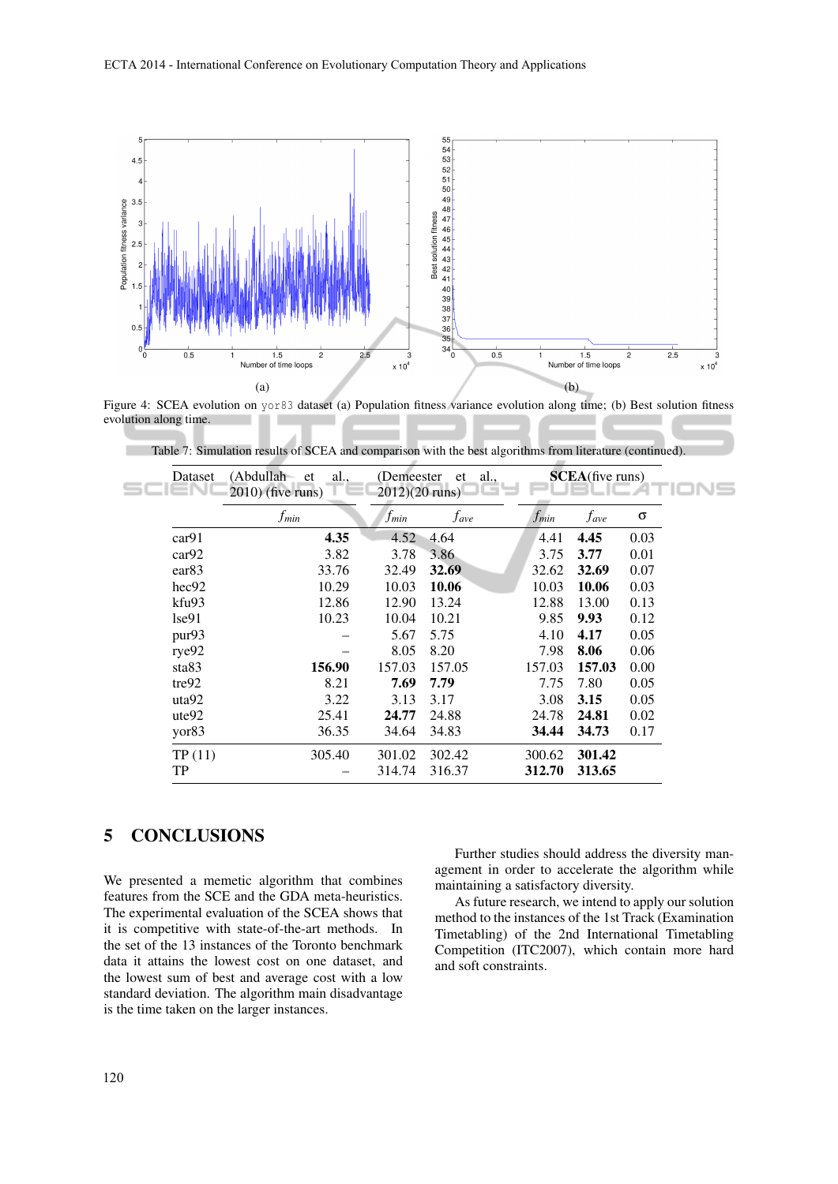

Figure 4: SCEA evolution on yor83 dataset (a) Population fitness variance evolution along time; (b) Best solution fitness evolution along time.

| Dataset           | (Abdullah et<br>al.,<br>$2010$ ) (five runs) | (Demeester)<br>$2012(20 \text{ runs})$ | et<br>al., |             | <b>SCEA</b> (five runs) |      |
|-------------------|----------------------------------------------|----------------------------------------|------------|-------------|-------------------------|------|
|                   | $f_{min}$                                    | $f_{min}$                              | fave       | <i>Jmin</i> | $f_{\rm ave}$           | σ    |
| car91             | 4.35                                         | 4.52                                   | 4.64       | 4.41        | 4.45                    | 0.03 |
| car92             | 3.82                                         | 3.78                                   | 3.86       | 3.75        | 3.77                    | 0.01 |
| ear <sub>83</sub> | 33.76                                        | 32.49                                  | 32.69      | 32.62       | 32.69                   | 0.07 |
| hec92             | 10.29                                        | 10.03                                  | 10.06      | 10.03       | 10.06                   | 0.03 |
| kfu93             | 12.86                                        | 12.90                                  | 13.24      | 12.88       | 13.00                   | 0.13 |
| $1$ se $91$       | 10.23                                        | 10.04                                  | 10.21      | 9.85        | 9.93                    | 0.12 |
| pur93             |                                              | 5.67                                   | 5.75       | 4.10        | 4.17                    | 0.05 |
| rye92             |                                              | 8.05                                   | 8.20       | 7.98        | 8.06                    | 0.06 |
| sta83             | 156.90                                       | 157.03                                 | 157.05     | 157.03      | 157.03                  | 0.00 |
| tre92             | 8.21                                         | 7.69                                   | 7.79       | 7.75        | 7.80                    | 0.05 |
| uta92             | 3.22                                         | 3.13                                   | 3.17       | 3.08        | 3.15                    | 0.05 |
| ute92             | 25.41                                        | 24.77                                  | 24.88      | 24.78       | 24.81                   | 0.02 |
| yor83             | 36.35                                        | 34.64                                  | 34.83      | 34.44       | 34.73                   | 0.17 |
| TP(11)            | 305.40                                       | 301.02                                 | 302.42     | 300.62      | 301.42                  |      |
| TP                |                                              | 314.74                                 | 316.37     | 312.70      | 313.65                  |      |
|                   |                                              |                                        |            |             |                         |      |

Table 7: Simulation results of SCEA and comparison with the best algorithms from literature (continued).

## 5 CONCLUSIONS

We presented a memetic algorithm that combines features from the SCE and the GDA meta-heuristics. The experimental evaluation of the SCEA shows that it is competitive with state-of-the-art methods. In the set of the 13 instances of the Toronto benchmark data it attains the lowest cost on one dataset, and the lowest sum of best and average cost with a low standard deviation. The algorithm main disadvantage is the time taken on the larger instances.

Further studies should address the diversity management in order to accelerate the algorithm while maintaining a satisfactory diversity.

As future research, we intend to apply our solution method to the instances of the 1st Track (Examination Timetabling) of the 2nd International Timetabling Competition (ITC2007), which contain more hard and soft constraints.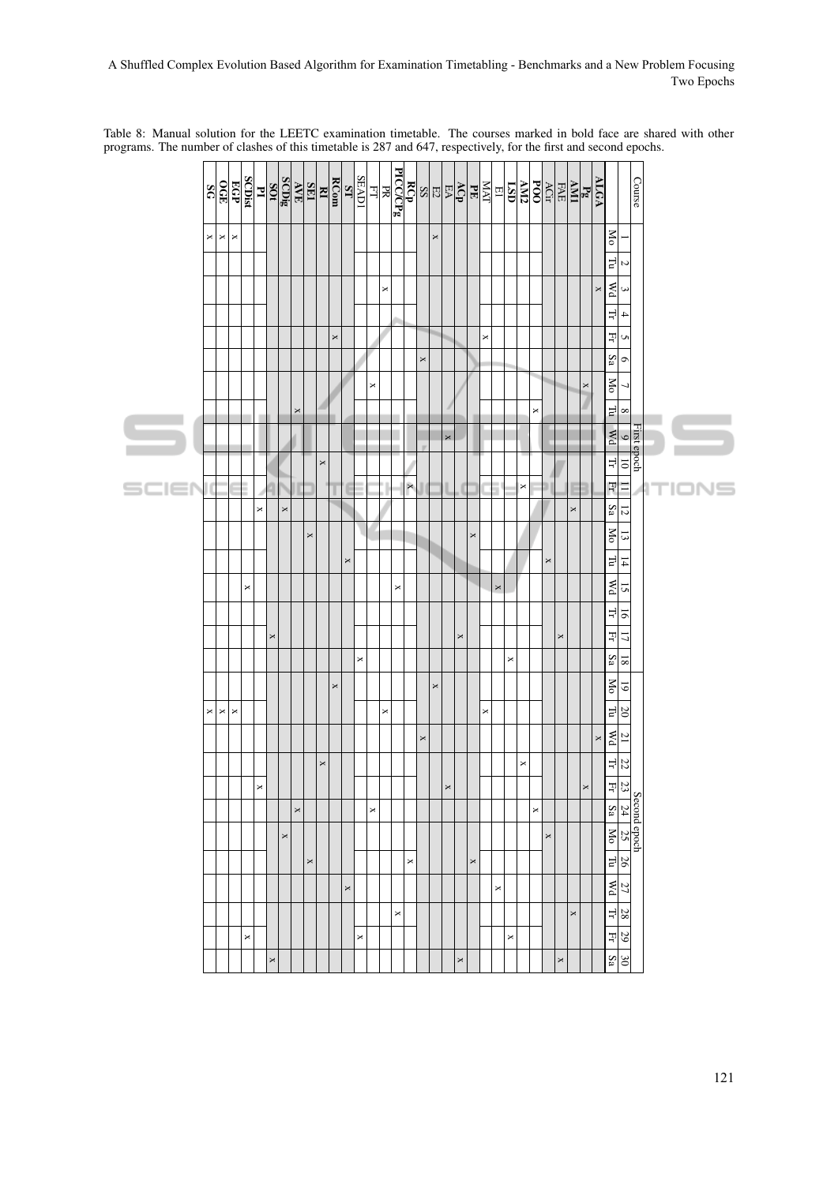|       | 36 | $rac{1}{2}$ | EGP            | <b>SCDist</b> | 곅              |          | $\frac{\text{SCDis}}{\text{SOr}}$ | $\frac{\text{R}}{\text{SFR}}$ |                       |          | <b>RCom</b>    | LS                    | <b>SEAD1</b>          | $\Xi$    | PICC/CPg |          |          |                |                | $\frac{\mathbb{E}\left \mathbf{S}_{\mathrm{B}}^{\mathrm{H}}\mathbf{K}\right }{\mathbf{E}\mathbf{G}_{\mathrm{D}}^{\mathrm{S}}}\mathbf{K}_{\mathrm{D}}^{\mathrm{S}}$ |                       |                | $\frac{E1}{MAT}$ |                           | $\frac{1}{1.50}$ |   | $\frac{\sqrt{CI_T}}{POO}$ | FAE      | $\ensuremath{\text{IMV}}$ | $\frac{ALGA}{Pg}$     |                       |                                               |                                   | Course                   |
|-------|----|-------------|----------------|---------------|----------------|----------|-----------------------------------|-------------------------------|-----------------------|----------|----------------|-----------------------|-----------------------|----------|----------|----------|----------|----------------|----------------|--------------------------------------------------------------------------------------------------------------------------------------------------------------------|-----------------------|----------------|------------------|---------------------------|------------------|---|---------------------------|----------|---------------------------|-----------------------|-----------------------|-----------------------------------------------|-----------------------------------|--------------------------|
|       | ×  | $\Join$     | $\Join$        |               |                |          |                                   |                               |                       |          |                |                       |                       |          |          |          |          |                | $\pmb{\times}$ |                                                                                                                                                                    |                       |                |                  |                           |                  |   |                           |          |                           |                       |                       | <b>No</b>                                     |                                   |                          |
|       |    |             |                |               |                |          |                                   |                               |                       |          |                |                       |                       |          |          |          |          |                |                |                                                                                                                                                                    |                       |                |                  |                           |                  |   |                           |          |                           |                       |                       | $\Gamma$ u                                    | Z                                 |                          |
|       |    |             |                |               |                |          |                                   |                               |                       |          |                |                       |                       |          | ×        |          |          |                |                |                                                                                                                                                                    |                       |                |                  |                           |                  |   |                           |          |                           |                       | $\boldsymbol{\times}$ | $\mathbb{Z}$                                  | $\mathbf{\hat{z}}$                |                          |
|       |    |             |                |               |                |          |                                   |                               |                       |          |                |                       |                       |          |          |          |          |                |                |                                                                                                                                                                    |                       |                |                  |                           |                  |   |                           |          |                           |                       |                       | H                                             | $\overline{a}$                    |                          |
|       |    |             |                |               |                |          |                                   |                               |                       |          | $\pmb{\times}$ |                       |                       |          |          |          |          |                |                |                                                                                                                                                                    |                       |                | $\times$         |                           |                  |   |                           |          |                           |                       |                       | ᇺ                                             | S                                 |                          |
|       |    |             |                |               |                |          |                                   |                               |                       |          |                |                       |                       |          |          |          |          | $\times$       |                |                                                                                                                                                                    |                       |                |                  |                           |                  |   |                           |          |                           |                       |                       | $S_{a}$                                       | $\circ$                           |                          |
|       |    |             |                |               |                |          |                                   |                               |                       |          |                |                       |                       | ×        |          |          |          |                |                |                                                                                                                                                                    |                       |                |                  |                           |                  |   |                           |          |                           | ×                     |                       | No                                            | ┙                                 |                          |
|       |    |             |                |               |                |          |                                   | $\times$                      |                       |          |                |                       |                       |          |          |          |          |                |                |                                                                                                                                                                    |                       |                |                  |                           |                  | × |                           |          |                           |                       |                       | 다                                             | $\sim$                            |                          |
|       |    |             |                |               |                |          |                                   |                               |                       |          |                |                       |                       |          |          |          |          |                |                | $\mathbf x$                                                                                                                                                        |                       |                |                  |                           |                  |   |                           |          |                           |                       |                       | Wd Tr                                         | $\overline{6}$                    | First epoch              |
|       |    |             |                |               |                |          |                                   |                               |                       | $\times$ |                |                       |                       |          |          |          |          |                |                |                                                                                                                                                                    |                       |                |                  |                           |                  |   |                           |          |                           |                       |                       |                                               | $\overline{0}$                    |                          |
| SCIET | ί  |             |                |               |                |          |                                   |                               |                       |          |                |                       |                       |          |          |          | $\times$ |                |                |                                                                                                                                                                    | 1                     |                | ۴                | ī                         | ×                |   |                           |          | E                         |                       |                       | Ę                                             | $\equiv$                          | $\top$<br>'IOI<br>٩<br>= |
|       |    |             |                |               | ×              |          | $\boldsymbol{\times}$             |                               |                       |          |                |                       |                       |          |          |          |          |                |                |                                                                                                                                                                    |                       |                |                  |                           |                  |   |                           |          | ×                         |                       |                       | $S_{3}$                                       | $\frac{1}{2}$                     |                          |
|       |    |             |                |               |                |          |                                   |                               | $\pmb{\times}$        |          |                |                       |                       |          |          |          |          |                |                |                                                                                                                                                                    |                       | $\pmb{\times}$ |                  |                           |                  |   |                           |          |                           |                       |                       | M <sub>o</sub>                                | $\frac{13}{2}$                    |                          |
|       |    |             |                |               |                |          |                                   |                               |                       |          |                | $\boldsymbol{\times}$ |                       |          |          |          |          |                |                |                                                                                                                                                                    |                       |                |                  |                           |                  |   | ×                         |          |                           |                       |                       | $n_{\rm L}$                                   | $\frac{14}{1}$                    |                          |
|       |    |             |                | $\Join$       |                |          |                                   |                               |                       |          |                |                       |                       |          |          | ×        |          |                |                |                                                                                                                                                                    |                       |                |                  | $\boldsymbol{\mathsf{x}}$ |                  |   |                           |          |                           |                       |                       | $\mathbb{R}$                                  | $\overline{5}$                    |                          |
|       |    |             |                |               |                |          |                                   |                               |                       |          |                |                       |                       |          |          |          |          |                |                |                                                                                                                                                                    |                       |                |                  |                           |                  |   |                           |          |                           |                       |                       | 뇌                                             | $\overline{5}$                    |                          |
|       |    |             |                |               |                | $\times$ |                                   |                               |                       |          |                |                       |                       |          |          |          |          |                |                |                                                                                                                                                                    | ×                     |                |                  |                           |                  |   |                           | ×        |                           |                       |                       | 피그                                            |                                   |                          |
|       |    |             |                |               |                |          |                                   |                               |                       |          |                |                       | $\times$              |          |          |          |          |                |                |                                                                                                                                                                    |                       |                |                  |                           | ×                |   |                           |          |                           |                       |                       | $S_{a}$                                       | $\overline{\mathbf{8}}$           |                          |
|       |    |             |                |               |                |          |                                   |                               |                       |          | ×              |                       |                       |          |          |          |          |                | $\pmb{\times}$ |                                                                                                                                                                    |                       |                |                  |                           |                  |   |                           |          |                           |                       |                       | $M_{\rm O}$                                   | $\overline{61}$                   |                          |
|       | ×  | ×           | $\pmb{\times}$ |               |                |          |                                   |                               |                       |          |                |                       |                       |          | ×        |          |          |                |                |                                                                                                                                                                    |                       |                | ×                |                           |                  |   |                           |          |                           |                       |                       | $\overline{\Gamma}$                           | $\overline{20}$                   |                          |
|       |    |             |                |               |                |          |                                   |                               |                       |          |                |                       |                       |          |          |          |          | $\pmb{\times}$ |                |                                                                                                                                                                    |                       |                |                  |                           |                  |   |                           |          |                           |                       | $\boldsymbol{\times}$ | $\overline{\mathbb{M}}$                       | $\frac{21}{2}$                    |                          |
|       |    |             |                |               |                |          |                                   |                               |                       | $\times$ |                |                       |                       |          |          |          |          |                |                |                                                                                                                                                                    |                       |                |                  |                           | ×                |   |                           |          |                           |                       |                       | 뇌                                             | <b>22</b>                         |                          |
|       |    |             |                |               | $\pmb{\times}$ |          |                                   | $\times$                      |                       |          |                |                       |                       | $\times$ |          |          |          |                |                | $\boldsymbol{\times}$                                                                                                                                              |                       |                |                  |                           |                  | × |                           |          |                           | $\boldsymbol{\times}$ |                       | 刘                                             | $\overline{23}$                   |                          |
|       |    |             |                |               |                |          | $\pmb{\times}$                    |                               |                       |          |                |                       |                       |          |          |          |          |                |                |                                                                                                                                                                    |                       |                |                  |                           |                  |   | $\pmb{\times}$            |          |                           |                       |                       | $S_{3}$<br><b>No</b>                          | 24                                | Second epoch             |
|       |    |             |                |               |                |          |                                   |                               | $\boldsymbol{\times}$ |          |                |                       |                       |          |          |          | $\Join$  |                |                |                                                                                                                                                                    |                       | $\times$       |                  |                           |                  |   |                           |          |                           |                       |                       |                                               | 25                                |                          |
|       |    |             |                |               |                |          |                                   |                               |                       |          |                |                       |                       |          |          |          |          |                |                |                                                                                                                                                                    |                       |                |                  |                           |                  |   |                           |          |                           |                       |                       | $\mathbb{L}^{\mathfrak{g}}$<br>$\frac{PM}{M}$ | $\frac{26}{2}$<br>$\overline{27}$ |                          |
|       |    |             |                |               |                |          |                                   |                               |                       |          |                | $\boldsymbol{\times}$ |                       |          |          |          |          |                |                |                                                                                                                                                                    |                       |                |                  | $\Join$                   |                  |   |                           |          |                           |                       |                       |                                               |                                   |                          |
|       |    |             |                | $\Join$       |                |          |                                   |                               |                       |          |                |                       | $\boldsymbol{\times}$ |          |          | $\times$ |          |                |                |                                                                                                                                                                    |                       |                |                  |                           | $\times$         |   |                           |          | $\pmb{\times}$            |                       |                       | 귀<br>퓌                                        | 67                                |                          |
|       |    |             |                |               |                | $\times$ |                                   |                               |                       |          |                |                       |                       |          |          |          |          |                |                |                                                                                                                                                                    | $\boldsymbol{\times}$ |                |                  |                           |                  |   |                           | $\times$ |                           |                       |                       | $\overline{S}$ a                              | $\frac{1}{20}$                    |                          |

Table 8: Manual solution for the LEETC examination timetable. The courses marked in bold face are shared with other programs. The number of clashes of this timetable is 287 and 647, respectively, for the first and second epochs.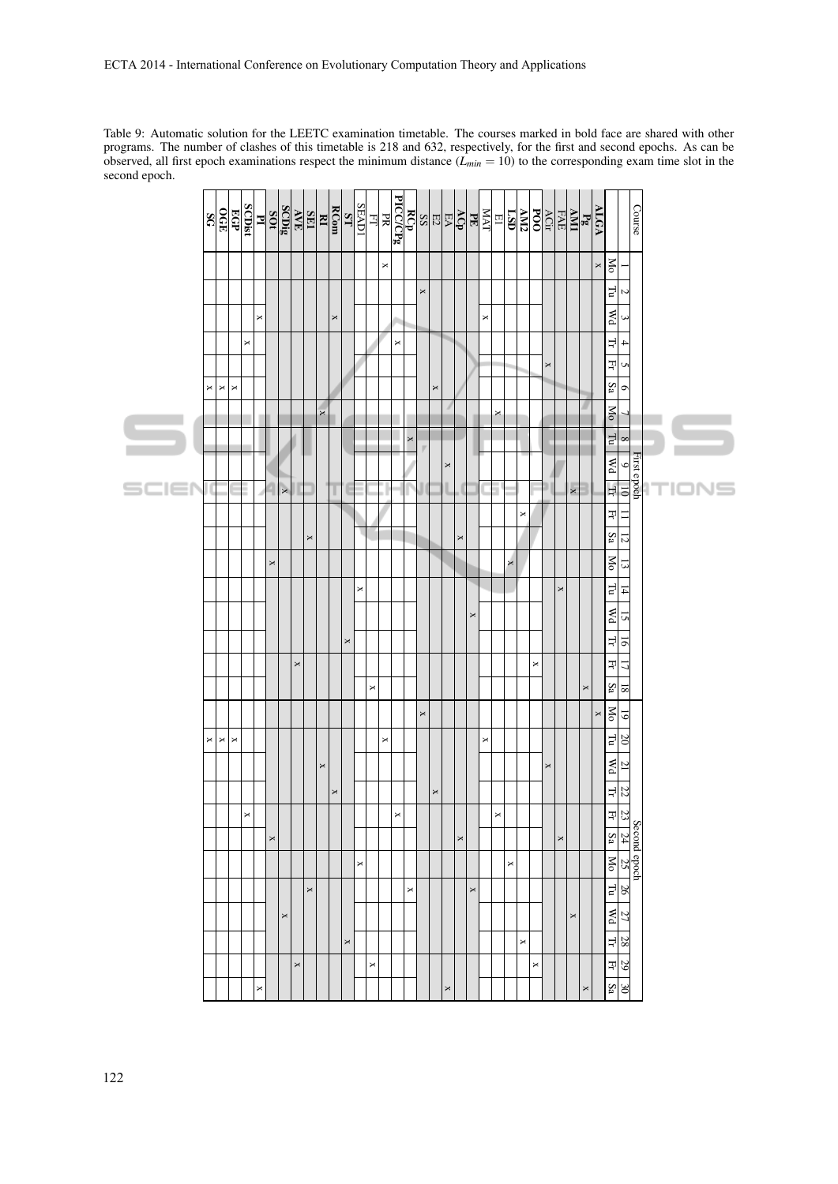Table 9: Automatic solution for the LEETC examination timetable. The courses marked in bold face are shared with other programs. The number of clashes of this timetable is 218 and 632, respectively, for the first and second epochs. As can be observed, all first epoch examinations respect the minimum distance  $(L_{min} = 10)$  to the corresponding exam time slot in the second epoch.

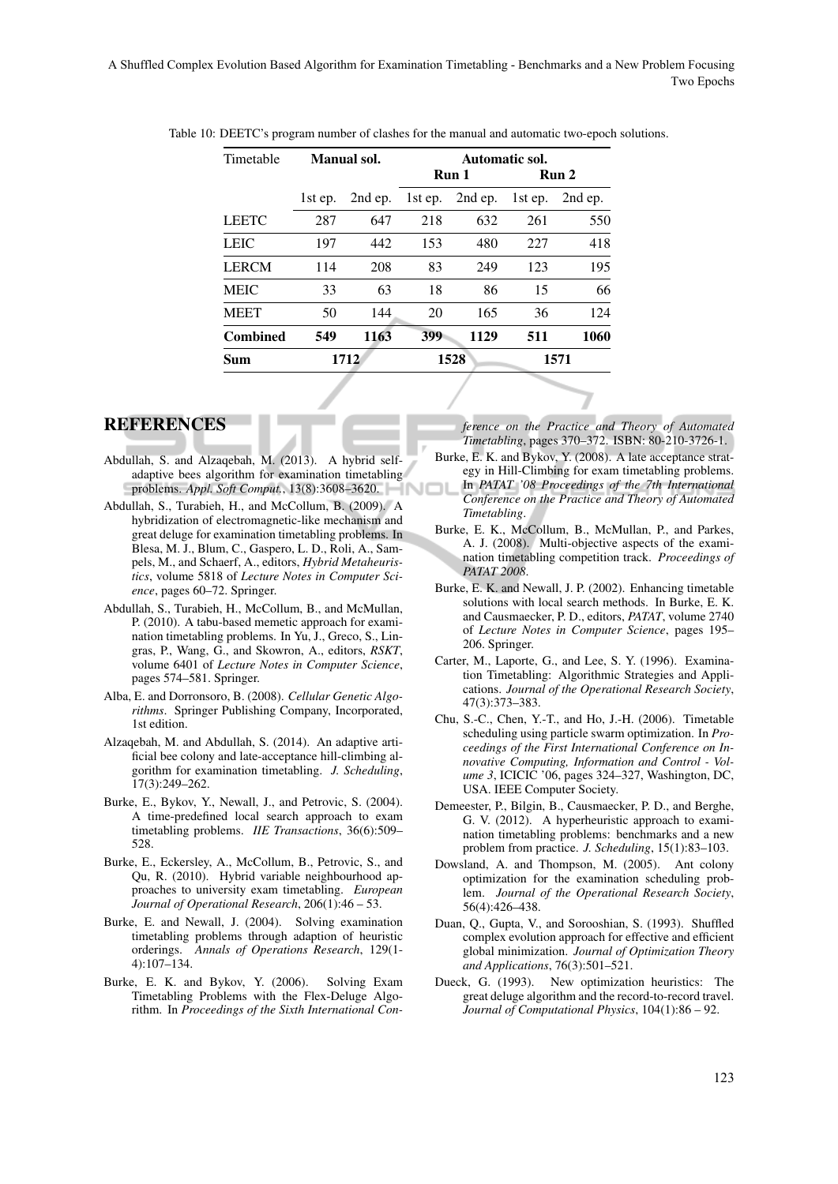| Timetable       | Manual sol. |         | Automatic sol. |         |         |         |
|-----------------|-------------|---------|----------------|---------|---------|---------|
|                 |             |         | Run 1          |         | Run 2   |         |
|                 | 1st ep.     | 2nd ep. | 1st ep.        | 2nd ep. | 1st ep. | 2nd ep. |
| <b>LEETC</b>    | 287         | 647     | 218            | 632     | 261     | 550     |
| <b>LEIC</b>     | 197         | 442     | 153            | 480     | 227     | 418     |
| <b>LERCM</b>    | 114         | 208     | 83             | 249     | 123     | 195     |
| <b>MEIC</b>     | 33          | 63      | 18             | 86      | 15      | 66      |
| <b>MEET</b>     | 50          | 144     | 20             | 165     | 36      | 124     |
| <b>Combined</b> | 549         | 1163    | 399            | 1129    | 511     | 1060    |
| Sum             | 1712        |         | 1528           |         | 1571    |         |
|                 |             |         |                |         |         |         |

Table 10: DEETC's program number of clashes for the manual and automatic two-epoch solutions.

## **REFERENCES**

- Abdullah, S. and Alzaqebah, M. (2013). A hybrid selfadaptive bees algorithm for examination timetabling problems. *Appl. Soft Comput.*, 13(8):3608–3620.
- Abdullah, S., Turabieh, H., and McCollum, B. (2009). A hybridization of electromagnetic-like mechanism and great deluge for examination timetabling problems. In Blesa, M. J., Blum, C., Gaspero, L. D., Roli, A., Sampels, M., and Schaerf, A., editors, *Hybrid Metaheuristics*, volume 5818 of *Lecture Notes in Computer Science*, pages 60–72. Springer.
- Abdullah, S., Turabieh, H., McCollum, B., and McMullan, P. (2010). A tabu-based memetic approach for examination timetabling problems. In Yu, J., Greco, S., Lingras, P., Wang, G., and Skowron, A., editors, *RSKT*, volume 6401 of *Lecture Notes in Computer Science*, pages 574–581. Springer.
- Alba, E. and Dorronsoro, B. (2008). *Cellular Genetic Algorithms*. Springer Publishing Company, Incorporated, 1st edition.
- Alzaqebah, M. and Abdullah, S. (2014). An adaptive artificial bee colony and late-acceptance hill-climbing algorithm for examination timetabling. *J. Scheduling*, 17(3):249–262.
- Burke, E., Bykov, Y., Newall, J., and Petrovic, S. (2004). A time-predefined local search approach to exam timetabling problems. *IIE Transactions*, 36(6):509– 528.
- Burke, E., Eckersley, A., McCollum, B., Petrovic, S., and Qu, R. (2010). Hybrid variable neighbourhood approaches to university exam timetabling. *European Journal of Operational Research*, 206(1):46 – 53.
- Burke, E. and Newall, J. (2004). Solving examination timetabling problems through adaption of heuristic orderings. *Annals of Operations Research*, 129(1- 4):107–134.
- Burke, E. K. and Bykov, Y. (2006). Solving Exam Timetabling Problems with the Flex-Deluge Algorithm. In *Proceedings of the Sixth International Con-*

*ference on the Practice and Theory of Automated Timetabling*, pages 370–372. ISBN: 80-210-3726-1.

- Burke, E. K. and Bykov, Y. (2008). A late acceptance strategy in Hill-Climbing for exam timetabling problems. In *PATAT '08 Proceedings of the 7th International Conference on the Practice and Theory of Automated Timetabling*.
- Burke, E. K., McCollum, B., McMullan, P., and Parkes, A. J. (2008). Multi-objective aspects of the examination timetabling competition track. *Proceedings of PATAT 2008*.
- Burke, E. K. and Newall, J. P. (2002). Enhancing timetable solutions with local search methods. In Burke, E. K. and Causmaecker, P. D., editors, *PATAT*, volume 2740 of *Lecture Notes in Computer Science*, pages 195– 206. Springer.
- Carter, M., Laporte, G., and Lee, S. Y. (1996). Examination Timetabling: Algorithmic Strategies and Applications. *Journal of the Operational Research Society*, 47(3):373–383.
- Chu, S.-C., Chen, Y.-T., and Ho, J.-H. (2006). Timetable scheduling using particle swarm optimization. In *Proceedings of the First International Conference on Innovative Computing, Information and Control - Volume 3*, ICICIC '06, pages 324–327, Washington, DC, USA. IEEE Computer Society.
- Demeester, P., Bilgin, B., Causmaecker, P. D., and Berghe, G. V. (2012). A hyperheuristic approach to examination timetabling problems: benchmarks and a new problem from practice. *J. Scheduling*, 15(1):83–103.
- Dowsland, A. and Thompson, M. (2005). Ant colony optimization for the examination scheduling problem. *Journal of the Operational Research Society*, 56(4):426–438.
- Duan, Q., Gupta, V., and Sorooshian, S. (1993). Shuffled complex evolution approach for effective and efficient global minimization. *Journal of Optimization Theory and Applications*, 76(3):501–521.
- Dueck, G. (1993). New optimization heuristics: The great deluge algorithm and the record-to-record travel. *Journal of Computational Physics*, 104(1):86 – 92.